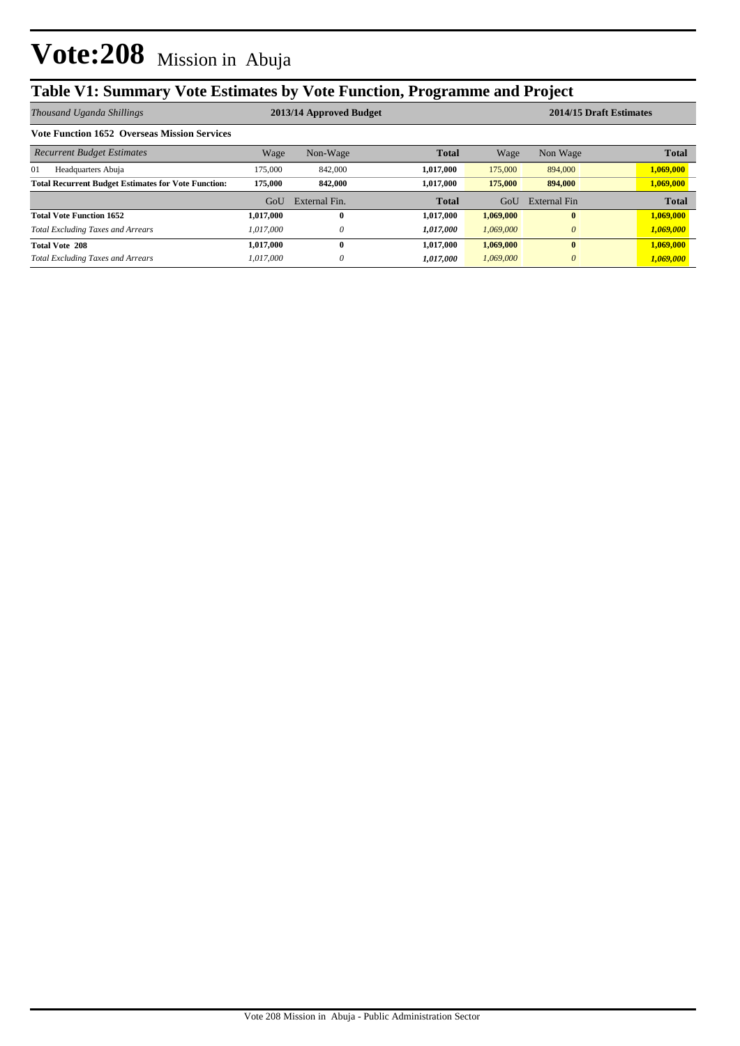## **Table V1: Summary Vote Estimates by Vote Function, Programme and Project**

| Thousand Uganda Shillings                                  | 2013/14 Approved Budget |               |              |           | 2014/15 Draft Estimates |              |  |  |
|------------------------------------------------------------|-------------------------|---------------|--------------|-----------|-------------------------|--------------|--|--|
| <b>Vote Function 1652 Overseas Mission Services</b>        |                         |               |              |           |                         |              |  |  |
| <b>Recurrent Budget Estimates</b>                          | Wage                    | Non-Wage      | <b>Total</b> | Wage      | Non Wage                | <b>Total</b> |  |  |
| 01<br>Headquarters Abuja                                   | 175,000                 | 842,000       | 1,017,000    | 175,000   | 894,000                 | 1,069,000    |  |  |
| <b>Total Recurrent Budget Estimates for Vote Function:</b> | 175,000                 | 842,000       | 1,017,000    | 175,000   | 894,000                 | 1,069,000    |  |  |
|                                                            | GoU                     | External Fin. | <b>Total</b> | GoU       | External Fin            | <b>Total</b> |  |  |
| <b>Total Vote Function 1652</b>                            | 1,017,000               | $\mathbf{0}$  | 1,017,000    | 1,069,000 | $\mathbf{0}$            | 1,069,000    |  |  |
| <b>Total Excluding Taxes and Arrears</b>                   | 1.017.000               | $\theta$      | 1,017,000    | 1.069,000 | $\theta$                | 1,069,000    |  |  |
| <b>Total Vote 208</b>                                      | 1,017,000               | $\mathbf{0}$  | 1,017,000    | 1,069,000 | $\mathbf{0}$            | 1,069,000    |  |  |
| <b>Total Excluding Taxes and Arrears</b>                   | 1.017.000               | $\theta$      | 1,017,000    | 1,069,000 | $\theta$                | 1,069,000    |  |  |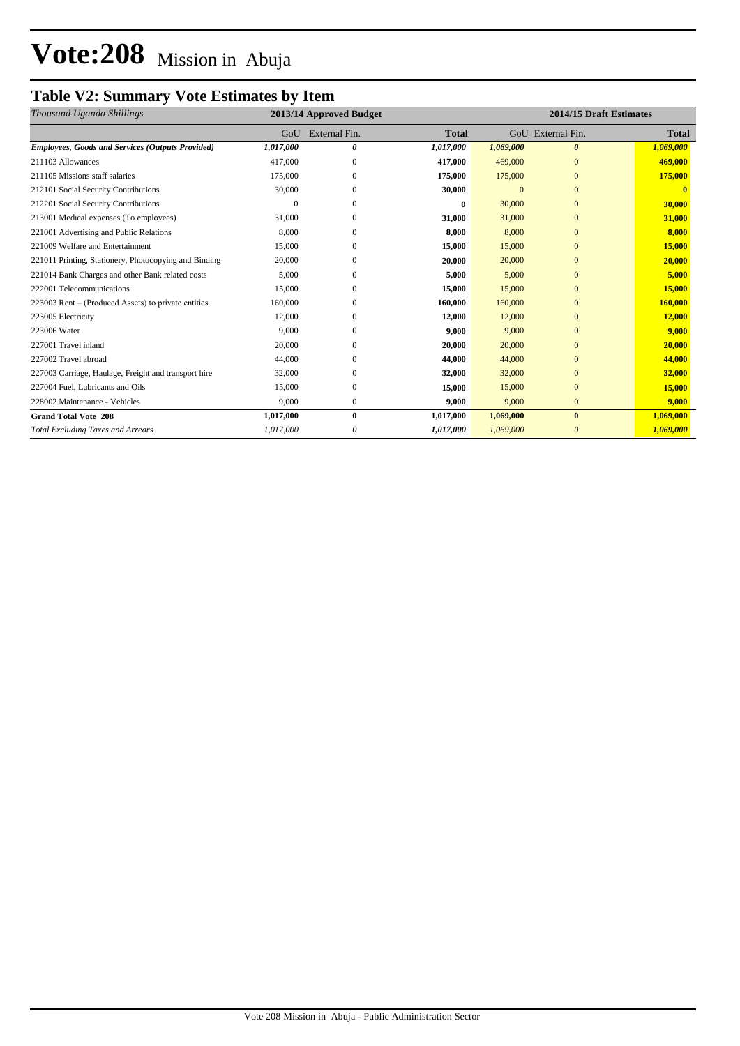## **Table V2: Summary Vote Estimates by Item**

| Thousand Uganda Shillings                               | 2013/14 Approved Budget |                |              | 2014/15 Draft Estimates |                   |              |
|---------------------------------------------------------|-------------------------|----------------|--------------|-------------------------|-------------------|--------------|
|                                                         | GoU                     | External Fin.  | <b>Total</b> |                         | GoU External Fin. | <b>Total</b> |
| <b>Employees, Goods and Services (Outputs Provided)</b> | 1,017,000               | 0              | 1,017,000    | 1,069,000               | $\theta$          | 1,069,000    |
| 211103 Allowances                                       | 417,000                 | $\mathbf{0}$   | 417,000      | 469,000                 | $\Omega$          | 469,000      |
| 211105 Missions staff salaries                          | 175,000                 | 0              | 175,000      | 175,000                 | $\mathbf{0}$      | 175,000      |
| 212101 Social Security Contributions                    | 30,000                  | $\Omega$       | 30,000       | $\Omega$                | $\mathbf{0}$      |              |
| 212201 Social Security Contributions                    |                         | $\Omega$       | 0            | 30,000                  | $\Omega$          | 30,000       |
| 213001 Medical expenses (To employees)                  | 31,000                  | $\Omega$       | 31,000       | 31,000                  | $\Omega$          | 31,000       |
| 221001 Advertising and Public Relations                 | 8,000                   | $\Omega$       | 8,000        | 8,000                   | $\Omega$          | 8,000        |
| 221009 Welfare and Entertainment                        | 15,000                  | $\mathbf{0}$   | 15,000       | 15,000                  | $\mathbf{0}$      | 15,000       |
| 221011 Printing, Stationery, Photocopying and Binding   | 20,000                  | $\Omega$       | 20,000       | 20,000                  | $\Omega$          | 20,000       |
| 221014 Bank Charges and other Bank related costs        | 5,000                   | $\Omega$       | 5,000        | 5,000                   | $\Omega$          | 5,000        |
| 222001 Telecommunications                               | 15,000                  | $\Omega$       | 15,000       | 15,000                  | $\Omega$          | 15,000       |
| 223003 Rent – (Produced Assets) to private entities     | 160,000                 | 0              | 160,000      | 160,000                 | $\Omega$          | 160,000      |
| 223005 Electricity                                      | 12,000                  | 0              | 12,000       | 12,000                  | $\mathbf{0}$      | 12,000       |
| 223006 Water                                            | 9,000                   | $\Omega$       | 9,000        | 9,000                   | $\Omega$          | 9,000        |
| 227001 Travel inland                                    | 20,000                  | $\mathbf{0}$   | 20,000       | 20,000                  | $\mathbf{0}$      | 20,000       |
| 227002 Travel abroad                                    | 44,000                  | 0              | 44,000       | 44,000                  | $\mathbf{0}$      | 44,000       |
| 227003 Carriage, Haulage, Freight and transport hire    | 32,000                  | 0              | 32,000       | 32,000                  | $\mathbf{0}$      | 32,000       |
| 227004 Fuel, Lubricants and Oils                        | 15,000                  | $\overline{0}$ | 15,000       | 15,000                  | $\mathbf{0}$      | 15,000       |
| 228002 Maintenance - Vehicles                           | 9,000                   | $\mathbf{0}$   | 9,000        | 9,000                   | $\mathbf{0}$      | 9,000        |
| <b>Grand Total Vote 208</b>                             | 1,017,000               | $\bf{0}$       | 1,017,000    | 1,069,000               | $\bf{0}$          | 1,069,000    |
| <b>Total Excluding Taxes and Arrears</b>                | 1,017,000               | 0              | 1,017,000    | 1,069,000               | $\theta$          | 1,069,000    |